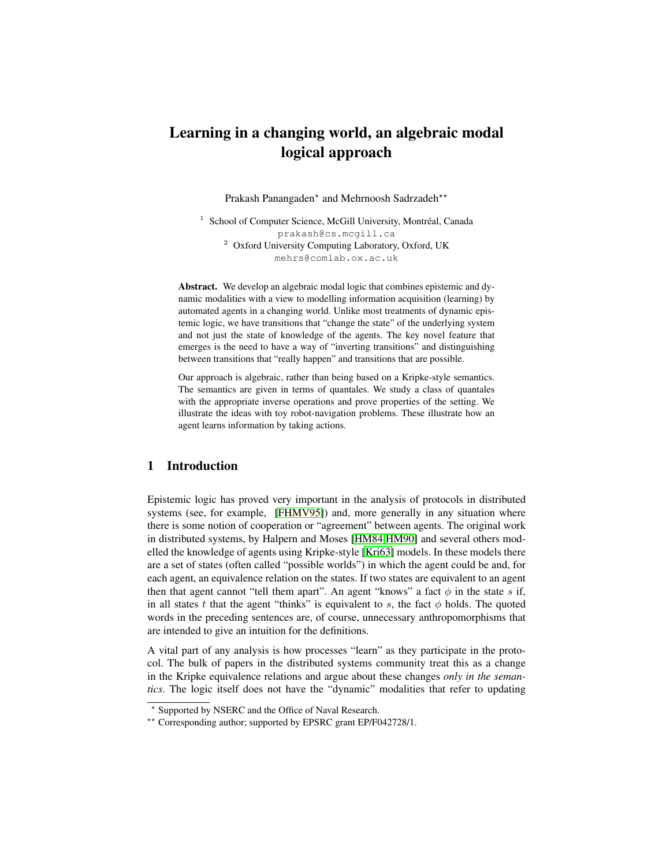# Learning in a changing world, an algebraic modal logical approach

Prakash Panangaden\* and Mehrnoosh Sadrzadeh\*\*

<sup>1</sup> School of Computer Science, McGill University, Montréal, Canada prakash@cs.mcgill.ca <sup>2</sup> Oxford University Computing Laboratory, Oxford, UK mehrs@comlab.ox.ac.uk

Abstract. We develop an algebraic modal logic that combines epistemic and dynamic modalities with a view to modelling information acquisition (learning) by automated agents in a changing world. Unlike most treatments of dynamic epistemic logic, we have transitions that "change the state" of the underlying system and not just the state of knowledge of the agents. The key novel feature that emerges is the need to have a way of "inverting transitions" and distinguishing between transitions that "really happen" and transitions that are possible.

Our approach is algebraic, rather than being based on a Kripke-style semantics. The semantics are given in terms of quantales. We study a class of quantales with the appropriate inverse operations and prove properties of the setting. We illustrate the ideas with toy robot-navigation problems. These illustrate how an agent learns information by taking actions.

# 1 Introduction

Epistemic logic has proved very important in the analysis of protocols in distributed systems (see, for example, [\[FHMV95\]](#page-14-0)) and, more generally in any situation where there is some notion of cooperation or "agreement" between agents. The original work in distributed systems, by Halpern and Moses [\[HM84,](#page-14-1)[HM90\]](#page-14-2) and several others modelled the knowledge of agents using Kripke-style [\[Kri63\]](#page-14-3) models. In these models there are a set of states (often called "possible worlds") in which the agent could be and, for each agent, an equivalence relation on the states. If two states are equivalent to an agent then that agent cannot "tell them apart". An agent "knows" a fact  $\phi$  in the state s if, in all states t that the agent "thinks" is equivalent to s, the fact  $\phi$  holds. The quoted words in the preceding sentences are, of course, unnecessary anthropomorphisms that are intended to give an intuition for the definitions.

A vital part of any analysis is how processes "learn" as they participate in the protocol. The bulk of papers in the distributed systems community treat this as a change in the Kripke equivalence relations and argue about these changes *only in the semantics*. The logic itself does not have the "dynamic" modalities that refer to updating

<sup>?</sup> Supported by NSERC and the Office of Naval Research.

<sup>\*\*</sup> Corresponding author; supported by EPSRC grant EP/F042728/1.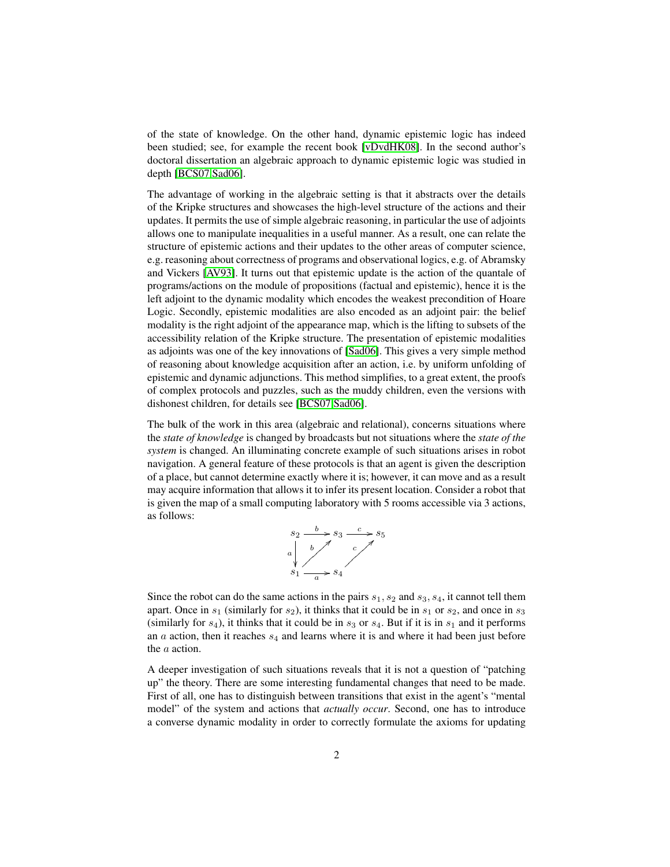of the state of knowledge. On the other hand, dynamic epistemic logic has indeed been studied; see, for example the recent book [\[vDvdHK08\]](#page-14-4). In the second author's doctoral dissertation an algebraic approach to dynamic epistemic logic was studied in depth [\[BCS07](#page-14-5)[,Sad06\]](#page-14-6).

The advantage of working in the algebraic setting is that it abstracts over the details of the Kripke structures and showcases the high-level structure of the actions and their updates. It permits the use of simple algebraic reasoning, in particular the use of adjoints allows one to manipulate inequalities in a useful manner. As a result, one can relate the structure of epistemic actions and their updates to the other areas of computer science, e.g. reasoning about correctness of programs and observational logics, e.g. of Abramsky and Vickers [\[AV93\]](#page-13-0). It turns out that epistemic update is the action of the quantale of programs/actions on the module of propositions (factual and epistemic), hence it is the left adjoint to the dynamic modality which encodes the weakest precondition of Hoare Logic. Secondly, epistemic modalities are also encoded as an adjoint pair: the belief modality is the right adjoint of the appearance map, which is the lifting to subsets of the accessibility relation of the Kripke structure. The presentation of epistemic modalities as adjoints was one of the key innovations of [\[Sad06\]](#page-14-6). This gives a very simple method of reasoning about knowledge acquisition after an action, i.e. by uniform unfolding of epistemic and dynamic adjunctions. This method simplifies, to a great extent, the proofs of complex protocols and puzzles, such as the muddy children, even the versions with dishonest children, for details see [\[BCS07](#page-14-5)[,Sad06\]](#page-14-6).

The bulk of the work in this area (algebraic and relational), concerns situations where the *state of knowledge* is changed by broadcasts but not situations where the *state of the system* is changed. An illuminating concrete example of such situations arises in robot navigation. A general feature of these protocols is that an agent is given the description of a place, but cannot determine exactly where it is; however, it can move and as a result may acquire information that allows it to infer its present location. Consider a robot that is given the map of a small computing laboratory with 5 rooms accessible via 3 actions, as follows:



Since the robot can do the same actions in the pairs  $s_1$ ,  $s_2$  and  $s_3$ ,  $s_4$ , it cannot tell them apart. Once in  $s_1$  (similarly for  $s_2$ ), it thinks that it could be in  $s_1$  or  $s_2$ , and once in  $s_3$ (similarly for  $s_4$ ), it thinks that it could be in  $s_3$  or  $s_4$ . But if it is in  $s_1$  and it performs an  $a$  action, then it reaches  $s_4$  and learns where it is and where it had been just before the a action.

A deeper investigation of such situations reveals that it is not a question of "patching up" the theory. There are some interesting fundamental changes that need to be made. First of all, one has to distinguish between transitions that exist in the agent's "mental model" of the system and actions that *actually occur*. Second, one has to introduce a converse dynamic modality in order to correctly formulate the axioms for updating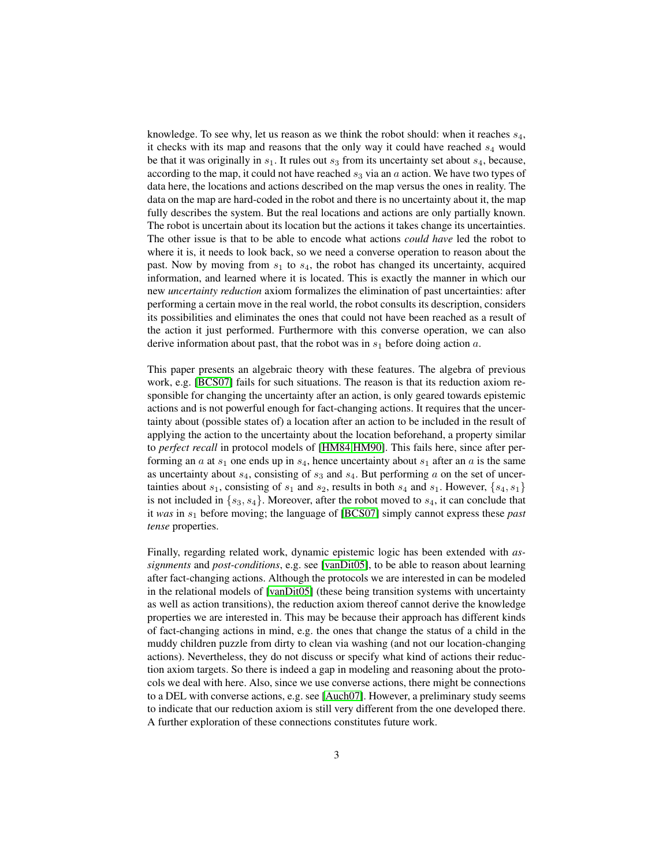knowledge. To see why, let us reason as we think the robot should: when it reaches  $s_4$ , it checks with its map and reasons that the only way it could have reached  $s_4$  would be that it was originally in  $s_1$ . It rules out  $s_3$  from its uncertainty set about  $s_4$ , because, according to the map, it could not have reached  $s_3$  via an  $a$  action. We have two types of data here, the locations and actions described on the map versus the ones in reality. The data on the map are hard-coded in the robot and there is no uncertainty about it, the map fully describes the system. But the real locations and actions are only partially known. The robot is uncertain about its location but the actions it takes change its uncertainties. The other issue is that to be able to encode what actions *could have* led the robot to where it is, it needs to look back, so we need a converse operation to reason about the past. Now by moving from  $s_1$  to  $s_4$ , the robot has changed its uncertainty, acquired information, and learned where it is located. This is exactly the manner in which our new *uncertainty reduction* axiom formalizes the elimination of past uncertainties: after performing a certain move in the real world, the robot consults its description, considers its possibilities and eliminates the ones that could not have been reached as a result of the action it just performed. Furthermore with this converse operation, we can also derive information about past, that the robot was in  $s_1$  before doing action a.

This paper presents an algebraic theory with these features. The algebra of previous work, e.g. [\[BCS07\]](#page-14-5) fails for such situations. The reason is that its reduction axiom responsible for changing the uncertainty after an action, is only geared towards epistemic actions and is not powerful enough for fact-changing actions. It requires that the uncertainty about (possible states of) a location after an action to be included in the result of applying the action to the uncertainty about the location beforehand, a property similar to *perfect recall* in protocol models of [\[HM84](#page-14-1)[,HM90\]](#page-14-2). This fails here, since after performing an a at  $s_1$  one ends up in  $s_4$ , hence uncertainty about  $s_1$  after an a is the same as uncertainty about  $s_4$ , consisting of  $s_3$  and  $s_4$ . But performing a on the set of uncertainties about  $s_1$ , consisting of  $s_1$  and  $s_2$ , results in both  $s_4$  and  $s_1$ . However,  $\{s_4, s_1\}$ is not included in  $\{s_3, s_4\}$ . Moreover, after the robot moved to  $s_4$ , it can conclude that it *was* in  $s_1$  before moving; the language of [\[BCS07\]](#page-14-5) simply cannot express these *past tense* properties.

Finally, regarding related work, dynamic epistemic logic has been extended with *assignments* and *post-conditions*, e.g. see [\[vanDit05\]](#page-14-7), to be able to reason about learning after fact-changing actions. Although the protocols we are interested in can be modeled in the relational models of [\[vanDit05\]](#page-14-7) (these being transition systems with uncertainty as well as action transitions), the reduction axiom thereof cannot derive the knowledge properties we are interested in. This may be because their approach has different kinds of fact-changing actions in mind, e.g. the ones that change the status of a child in the muddy children puzzle from dirty to clean via washing (and not our location-changing actions). Nevertheless, they do not discuss or specify what kind of actions their reduction axiom targets. So there is indeed a gap in modeling and reasoning about the protocols we deal with here. Also, since we use converse actions, there might be connections to a DEL with converse actions, e.g. see [\[Auch07\]](#page-13-1). However, a preliminary study seems to indicate that our reduction axiom is still very different from the one developed there. A further exploration of these connections constitutes future work.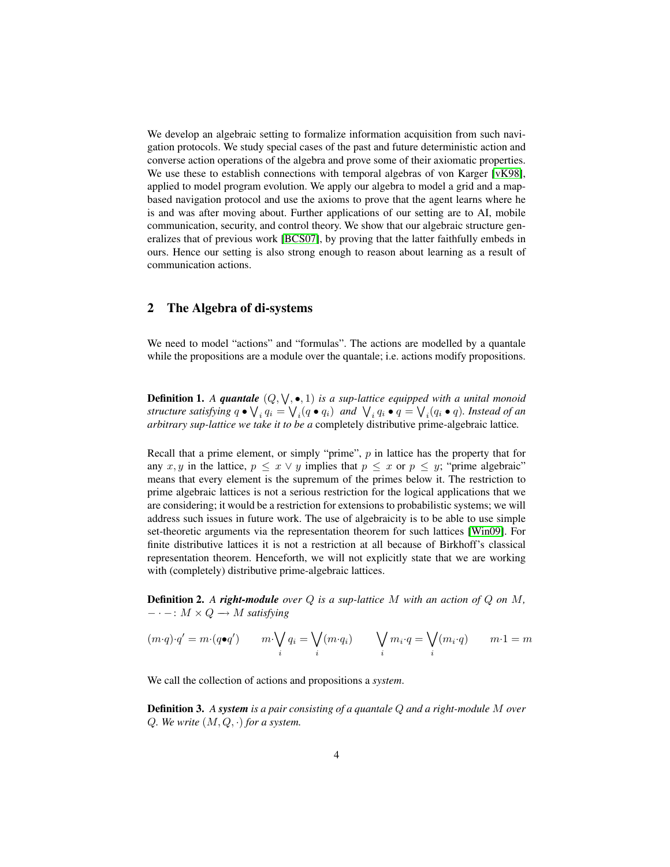We develop an algebraic setting to formalize information acquisition from such navigation protocols. We study special cases of the past and future deterministic action and converse action operations of the algebra and prove some of their axiomatic properties. We use these to establish connections with temporal algebras of von Karger [\[vK98\]](#page-14-8), applied to model program evolution. We apply our algebra to model a grid and a mapbased navigation protocol and use the axioms to prove that the agent learns where he is and was after moving about. Further applications of our setting are to AI, mobile communication, security, and control theory. We show that our algebraic structure generalizes that of previous work [\[BCS07\]](#page-14-5), by proving that the latter faithfully embeds in ours. Hence our setting is also strong enough to reason about learning as a result of communication actions.

# 2 The Algebra of di-systems

We need to model "actions" and "formulas". The actions are modelled by a quantale while the propositions are a module over the quantale; i.e. actions modify propositions.

**Definition 1.** A quantale  $(Q, \bigvee, \bullet, 1)$  *is a sup-lattice equipped with a unital monoid structure satisfying*  $q \bullet \bigvee_i q_i = \bigvee_i (q \bullet q_i)$  *and*  $\bigvee_i q_i \bullet q = \bigvee_i (q_i \bullet q)$ *. Instead of an arbitrary sup-lattice we take it to be a* completely distributive prime-algebraic lattice*.*

Recall that a prime element, or simply "prime",  $p$  in lattice has the property that for any x, y in the lattice,  $p \leq x \vee y$  implies that  $p \leq x$  or  $p \leq y$ ; "prime algebraic" means that every element is the supremum of the primes below it. The restriction to prime algebraic lattices is not a serious restriction for the logical applications that we are considering; it would be a restriction for extensions to probabilistic systems; we will address such issues in future work. The use of algebraicity is to be able to use simple set-theoretic arguments via the representation theorem for such lattices [\[Win09\]](#page-14-9). For finite distributive lattices it is not a restriction at all because of Birkhoff's classical representation theorem. Henceforth, we will not explicitly state that we are working with (completely) distributive prime-algebraic lattices.

Definition 2. *A right-module over* Q *is a sup-lattice* M *with an action of* Q *on* M*,*  $- \cdot - : M \times Q \longrightarrow M$  *satisfying* 

$$
(m \cdot q) \cdot q' = m \cdot (q \bullet q') \qquad m \cdot \bigvee_i q_i = \bigvee_i (m \cdot q_i) \qquad \bigvee_i m_i \cdot q = \bigvee_i (m_i \cdot q) \qquad m \cdot 1 = m
$$

We call the collection of actions and propositions a *system*.

Definition 3. *A system is a pair consisting of a quantale* Q *and a right-module* M *over Q. We write*  $(M, Q, \cdot)$  *for a system.*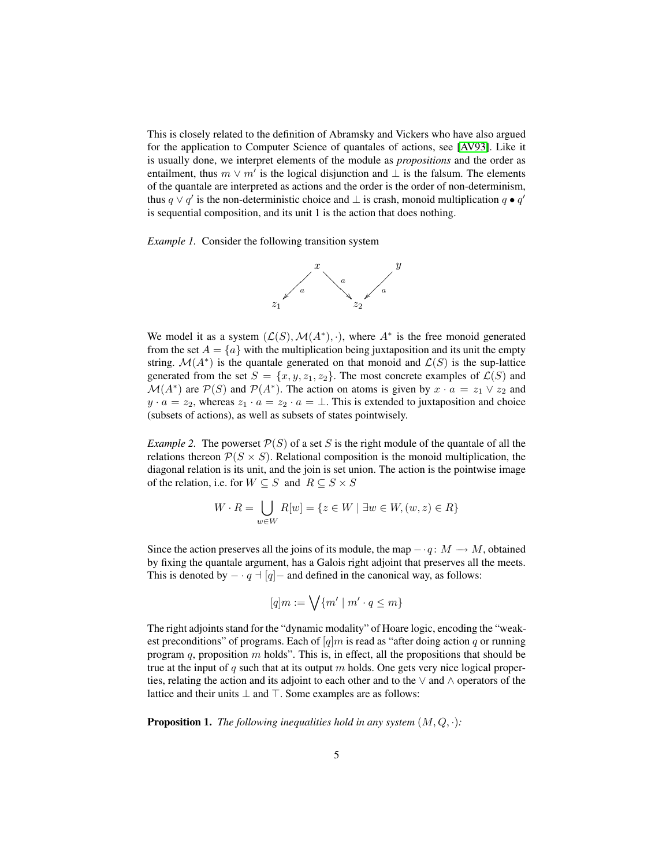This is closely related to the definition of Abramsky and Vickers who have also argued for the application to Computer Science of quantales of actions, see [\[AV93\]](#page-13-0). Like it is usually done, we interpret elements of the module as *propositions* and the order as entailment, thus  $m \vee m'$  is the logical disjunction and  $\perp$  is the falsum. The elements of the quantale are interpreted as actions and the order is the order of non-determinism, thus  $q \vee q'$  is the non-deterministic choice and  $\perp$  is crash, monoid multiplication  $q \bullet q'$ is sequential composition, and its unit 1 is the action that does nothing.

<span id="page-4-0"></span>*Example 1.* Consider the following transition system



We model it as a system  $(\mathcal{L}(S), \mathcal{M}(A^*), \cdot)$ , where  $A^*$  is the free monoid generated from the set  $A = \{a\}$  with the multiplication being juxtaposition and its unit the empty string.  $\mathcal{M}(A^*)$  is the quantale generated on that monoid and  $\mathcal{L}(S)$  is the sup-lattice generated from the set  $S = \{x, y, z_1, z_2\}$ . The most concrete examples of  $\mathcal{L}(S)$  and  $\mathcal{M}(A^*)$  are  $\mathcal{P}(S)$  and  $\mathcal{P}(A^*)$ . The action on atoms is given by  $x \cdot a = z_1 \vee z_2$  and  $y \cdot a = z_2$ , whereas  $z_1 \cdot a = z_2 \cdot a = \perp$ . This is extended to juxtaposition and choice (subsets of actions), as well as subsets of states pointwisely.

<span id="page-4-1"></span>*Example 2.* The powerset  $P(S)$  of a set S is the right module of the quantale of all the relations thereon  $P(S \times S)$ . Relational composition is the monoid multiplication, the diagonal relation is its unit, and the join is set union. The action is the pointwise image of the relation, i.e. for  $W \subseteq S$  and  $R \subseteq S \times S$ 

$$
W \cdot R = \bigcup_{w \in W} R[w] = \{ z \in W \mid \exists w \in W, (w, z) \in R \}
$$

Since the action preserves all the joins of its module, the map  $-q: M \to M$ , obtained by fixing the quantale argument, has a Galois right adjoint that preserves all the meets. This is denoted by  $- \cdot q \cdot |q|$  and defined in the canonical way, as follows:

$$
[q]m:=\bigvee\{m'\mid m'\cdot q\leq m\}
$$

The right adjoints stand for the "dynamic modality" of Hoare logic, encoding the "weakest preconditions" of programs. Each of  $[q]m$  is read as "after doing action q or running program q, proposition  $m$  holds". This is, in effect, all the propositions that should be true at the input of q such that at its output m holds. One gets very nice logical properties, relating the action and its adjoint to each other and to the ∨ and ∧ operators of the lattice and their units  $\perp$  and  $\top$ . Some examples are as follows:

**Proposition 1.** *The following inequalities hold in any system*  $(M, Q, \cdot)$ *:*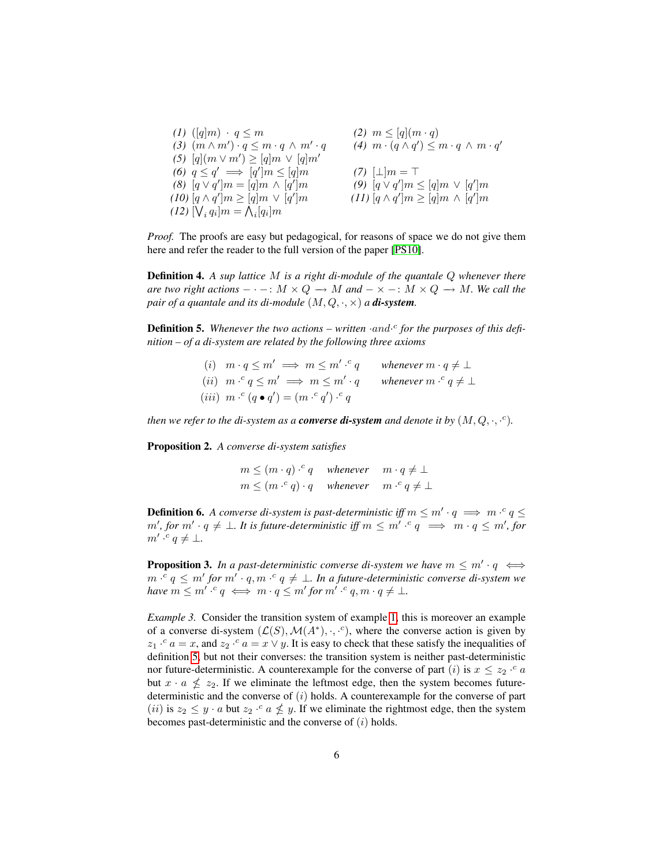*(1)*  $([q]m) \cdot q \le m$  *(2)*  $m \le [q](m \cdot q)$  $(3)$   $(m \wedge m') \cdot q \leq m \cdot q \wedge m'$  $\cdot q$  (4)  $m \cdot (q \wedge q') \leq m \cdot q \wedge m \cdot q'$ *(5)*  $[q](m \vee m') \geq [q]m \vee [q]m'$ (6)  $q \leq q' \implies [q']$  $(7)$   $\Box m = \top$ *(8)*  $[q \lor q']m = [q]m \land [q']$  $|m$  (9)  $[q \lor q']m \leq [q]m \lor [q']m$  $(10)$   $[q \wedge q']m \geq [q]m \vee [q']$  $|m$   $(11) [q \wedge q']m \geq [q]m \wedge [q']m$ *(12)*  $[\vee_i q_i]m = \wedge_i [q_i]m$ 

*Proof.* The proofs are easy but pedagogical, for reasons of space we do not give them here and refer the reader to the full version of the paper [\[PS10\]](#page-14-10).

Definition 4. *A sup lattice* M *is a right di-module of the quantale* Q *whenever there are two right actions*  $-\cdot -: M \times Q \rightarrow M$  *and*  $-\times -: M \times Q \rightarrow M$ *. We call the pair of a quantale and its di-module*  $(M, Q, \cdot, \times)$  *a di-system.* 

<span id="page-5-0"></span>**Definition 5.** Whenever the two actions – written  $\cdot$  and  $\cdot$  for the purposes of this defi*nition – of a di-system are related by the following three axioms*

> (i)  $m \cdot q \leq m' \implies m \leq m' \cdot q$ whenever  $m \cdot q \neq \bot$ (*ii*)  $m \cdot^c q \leq m' \implies m \leq m' \cdot q$  whenever  $m \cdot^c q \neq \perp$ (iii)  $m \cdot ^c (q \bullet q') = (m \cdot ^c q') \cdot ^c q$

*then we refer to the di-system as a <i>converse di-system and denote it by*  $(M, Q, \cdot, \cdot^c)$ *.* 

Proposition 2. *A converse di-system satisfies*

 $m \leq (m \cdot q) \cdot^c q$  whenever  $m \cdot q \neq \perp$  $m \leq (m \cdot c \cdot q) \cdot q$  whenever  $m \cdot c \cdot q \neq \perp$ 

**Definition 6.** A converse di-system is past-deterministic iff  $m \le m' \cdot q \implies m \cdot^c q \le$  $m',$  for  $m' \cdot q \neq \bot$ . It is future-deterministic iff  $m \leq m' \cdot^c q \implies m \cdot q \leq m',$  for  $m' \cdot c \neq \bot.$ 

**Proposition 3.** In a past-deterministic converse di-system we have  $m \leq m' \cdot q \iff$  $m \cdot^c q \leq m'$  for  $m' \cdot q$ ,  $m \cdot^c q \neq \perp$ . In a future-deterministic converse di-system we *have*  $m \leq m' \cdot c$   $q \iff m \cdot q \leq m'$  *for*  $m' \cdot c$   $q, m \cdot q \neq \bot$ .

*Example 3.* Consider the transition system of example [1,](#page-4-0) this is moreover an example of a converse di-system  $(\mathcal{L}(S), \mathcal{M}(A^*), \cdot, \cdot^c)$ , where the converse action is given by  $z_1$   $\cdot$   $\cdot$   $a = x$ , and  $z_2$   $\cdot$   $\cdot$   $a = x \vee y$ . It is easy to check that these satisfy the inequalities of definition [5,](#page-5-0) but not their converses: the transition system is neither past-deterministic nor future-deterministic. A counterexample for the converse of part (*i*) is  $x \le z_2 \cdot^c a$ but  $x \cdot a \nleq z_2$ . If we eliminate the leftmost edge, then the system becomes futuredeterministic and the converse of  $(i)$  holds. A counterexample for the converse of part (*ii*) is  $z_2 \leq y \cdot a$  but  $z_2 \cdot^c a \nleq y$ . If we eliminate the rightmost edge, then the system becomes past-deterministic and the converse of  $(i)$  holds.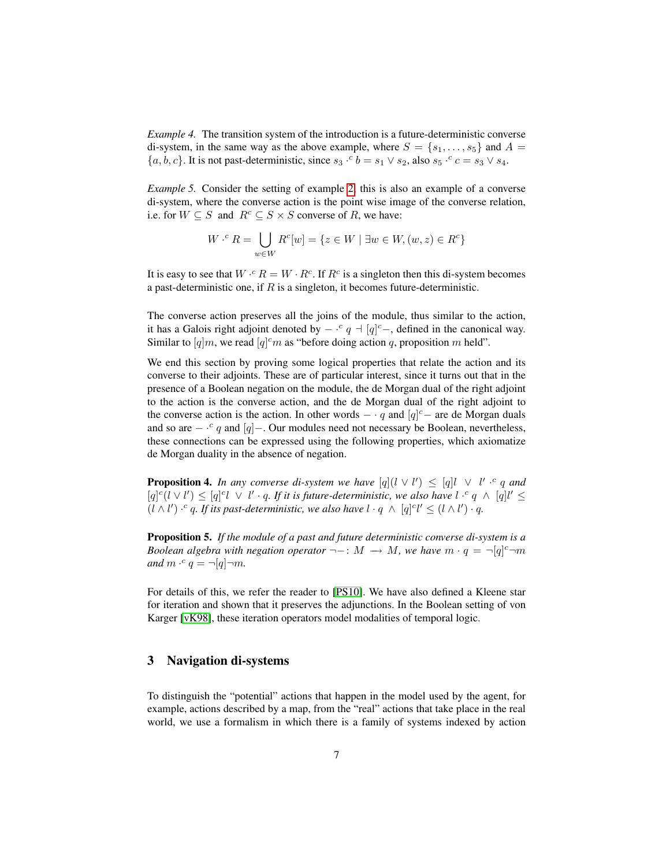<span id="page-6-0"></span>*Example 4.* The transition system of the introduction is a future-deterministic converse di-system, in the same way as the above example, where  $S = \{s_1, \ldots, s_5\}$  and  $A =$  $\{a, b, c\}$ . It is not past-deterministic, since  $s_3 \cdot^c b = s_1 \vee s_2$ , also  $s_5 \cdot^c c = s_3 \vee s_4$ .

*Example 5.* Consider the setting of example [2,](#page-4-1) this is also an example of a converse di-system, where the converse action is the point wise image of the converse relation, i.e. for  $W \subseteq S$  and  $R^c \subseteq S \times S$  converse of R, we have:

$$
W \cdot^c R = \bigcup_{w \in W} R^c[w] = \{ z \in W \mid \exists w \in W, (w, z) \in R^c \}
$$

It is easy to see that  $W \cdot^c R = W \cdot R^c$ . If  $R^c$  is a singleton then this di-system becomes a past-deterministic one, if  $R$  is a singleton, it becomes future-deterministic.

The converse action preserves all the joins of the module, thus similar to the action, it has a Galois right adjoint denoted by  $-c$   $q$   $\perp$  [ $q$ ]<sup> $c$ </sup> $-$ , defined in the canonical way. Similar to  $[q]m$ , we read  $[q]^{c}m$  as "before doing action q, proposition m held".

We end this section by proving some logical properties that relate the action and its converse to their adjoints. These are of particular interest, since it turns out that in the presence of a Boolean negation on the module, the de Morgan dual of the right adjoint to the action is the converse action, and the de Morgan dual of the right adjoint to the converse action is the action. In other words  $- \cdot q$  and  $[q]^{c}$  are de Morgan duals and so are  $-\cdot^c q$  and [q] – Our modules need not necessary be Boolean, nevertheless, these connections can be expressed using the following properties, which axiomatize de Morgan duality in the absence of negation.

**Proposition 4.** In any converse di-system we have  $[q](l \vee l') \leq [q]l \vee l' \cdot c q$  and  $[q]^{c}(l \vee l') \leq [q]^{c}l \vee l' \cdot q$ . If it is future-deterministic, we also have  $l \cdot c q \wedge [q]l' \leq$  $(l \wedge l') \cdot^c q$ . If its past-deterministic, we also have  $l \cdot q \wedge [q]^c l' \leq (l \wedge l') \cdot q$ .

Proposition 5. *If the module of a past and future deterministic converse di-system is a Boolean algebra with negation operator*  $\neg$  -:  $M \rightarrow M$ , we have  $m \cdot q = \neg[q]^{c} \neg m$ *and*  $m \cdot c$   $q = \neg[q] \neg m$ *.* 

For details of this, we refer the reader to [\[PS10\]](#page-14-10). We have also defined a Kleene star for iteration and shown that it preserves the adjunctions. In the Boolean setting of von Karger [\[vK98\]](#page-14-8), these iteration operators model modalities of temporal logic.

# 3 Navigation di-systems

To distinguish the "potential" actions that happen in the model used by the agent, for example, actions described by a map, from the "real" actions that take place in the real world, we use a formalism in which there is a family of systems indexed by action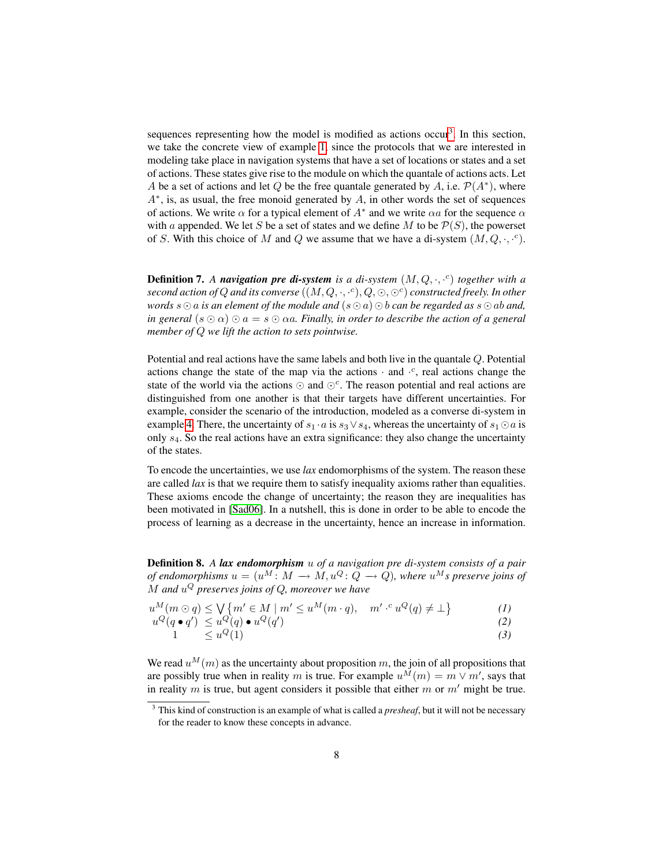sequences representing how the model is modified as actions occur<sup>[3](#page-7-0)</sup>. In this section, we take the concrete view of example [1,](#page-4-0) since the protocols that we are interested in modeling take place in navigation systems that have a set of locations or states and a set of actions. These states give rise to the module on which the quantale of actions acts. Let A be a set of actions and let Q be the free quantale generated by A, i.e.  $\mathcal{P}(A^*)$ , where  $A^*$ , is, as usual, the free monoid generated by  $A$ , in other words the set of sequences of actions. We write  $\alpha$  for a typical element of  $A^*$  and we write  $\alpha a$  for the sequence  $\alpha$ with a appended. We let S be a set of states and we define M to be  $\mathcal{P}(S)$ , the powerset of S. With this choice of M and Q we assume that we have a di-system  $(M, Q, \cdot, \cdot^c)$ .

**Definition 7.** A *navigation pre di-system is a di-system*  $(M, Q, \cdot, \cdot^c)$  *together with a* second action of  $Q$  and its converse  $((M,Q,\cdot,\cdot^c),Q,\odot,\odot^c)$  constructed freely. In other *words*  $s \odot a$  *is an element of the module and*  $(s \odot a) \odot b$  *can be regarded as*  $s \odot ab$  *and,* in general  $(s \odot \alpha) \odot a = s \odot \alpha a$ . Finally, in order to describe the action of a general *member of* Q *we lift the action to sets pointwise.*

Potential and real actions have the same labels and both live in the quantale Q. Potential actions change the state of the map via the actions  $\cdot$  and  $\cdot$ <sup>c</sup>, real actions change the state of the world via the actions  $\odot$  and  $\odot^c$ . The reason potential and real actions are distinguished from one another is that their targets have different uncertainties. For example, consider the scenario of the introduction, modeled as a converse di-system in example [4.](#page-6-0) There, the uncertainty of  $s_1 \cdot a$  is  $s_3 \vee s_4$ , whereas the uncertainty of  $s_1 \odot a$  is only  $s<sub>4</sub>$ . So the real actions have an extra significance: they also change the uncertainty of the states.

To encode the uncertainties, we use *lax* endomorphisms of the system. The reason these are called *lax* is that we require them to satisfy inequality axioms rather than equalities. These axioms encode the change of uncertainty; the reason they are inequalities has been motivated in [\[Sad06\]](#page-14-6). In a nutshell, this is done in order to be able to encode the process of learning as a decrease in the uncertainty, hence an increase in information.

<span id="page-7-1"></span>Definition 8. *A lax endomorphism* u *of a navigation pre di-system consists of a pair of endomorphisms*  $u = (u^M : M \to M, u^Q : Q \to Q)$ *, where*  $u^M$ *s preserve joins of*  $M$  and  $u^Q$  preserves joins of  $Q$ , moreover we have

$$
u^M(m \odot q) \le \bigvee \{ m' \in M \mid m' \le u^M(m \cdot q), \quad m' \cdot^c u^Q(q) \ne \bot \}
$$
 (1)

$$
u^{Q}(q \bullet q') \leq u^{Q}(q) \bullet u^{Q}(q') \tag{2}
$$

$$
1 \le u^Q(1) \tag{3}
$$

We read  $u^M(m)$  as the uncertainty about proposition m, the join of all propositions that are possibly true when in reality m is true. For example  $u^M(m) = m \vee m'$ , says that in reality  $m$  is true, but agent considers it possible that either  $m$  or  $m'$  might be true.

<span id="page-7-0"></span><sup>&</sup>lt;sup>3</sup> This kind of construction is an example of what is called a *presheaf*, but it will not be necessary for the reader to know these concepts in advance.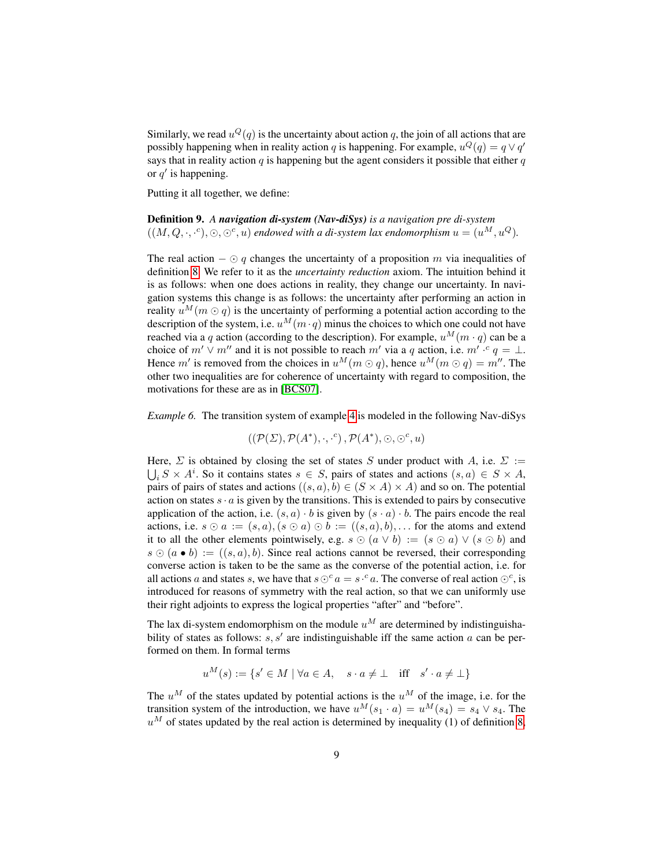Similarly, we read  $u^Q(q)$  is the uncertainty about action q, the join of all actions that are possibly happening when in reality action q is happening. For example,  $u^Q(q) = q \vee q'$ says that in reality action  $q$  is happening but the agent considers it possible that either  $q$ or  $q'$  is happening.

Putting it all together, we define:

Definition 9. *A navigation di-system (Nav-diSys) is a navigation pre di-system*  $((M, Q, \cdot, \cdot^c), \odot, \odot^c, u)$  endowed with a di-system lax endomorphism  $u = (u^M, u^Q)$ .

The real action  $-\odot q$  changes the uncertainty of a proposition m via inequalities of definition [8.](#page-7-1) We refer to it as the *uncertainty reduction* axiom. The intuition behind it is as follows: when one does actions in reality, they change our uncertainty. In navigation systems this change is as follows: the uncertainty after performing an action in reality  $u^M(m\odot q)$  is the uncertainty of performing a potential action according to the description of the system, i.e.  $u^M(m \cdot q)$  minus the choices to which one could not have reached via a q action (according to the description). For example,  $u^M(m \cdot q)$  can be a choice of  $m' \vee m''$  and it is not possible to reach  $m'$  via a q action, i.e.  $m' \cdot^c q = \bot$ . Hence m' is removed from the choices in  $u^M(m\odot q)$ , hence  $u^M(m\odot q) = m''$ . The other two inequalities are for coherence of uncertainty with regard to composition, the motivations for these are as in [\[BCS07\]](#page-14-5).

*Example 6.* The transition system of example [4](#page-6-0) is modeled in the following Nav-diSys

$$
((\mathcal{P}(\Sigma), \mathcal{P}(A^*), \cdot, \cdot^c), \mathcal{P}(A^*), \odot, \odot^c, u)
$$

Here,  $\Sigma$  is obtained by closing the set of states S under product with A, i.e.  $\Sigma :=$  $\bigcup_i S \times A^i$ . So it contains states  $s \in S$ , pairs of states and actions  $(s, a) \in S \times A$ , pairs of pairs of states and actions  $((s, a), b) \in (S \times A) \times A$  and so on. The potential action on states  $s \cdot a$  is given by the transitions. This is extended to pairs by consecutive application of the action, i.e.  $(s, a) \cdot b$  is given by  $(s \cdot a) \cdot b$ . The pairs encode the real actions, i.e.  $s \odot a := (s, a), (s \odot a) \odot b := ((s, a), b), \dots$  for the atoms and extend it to all the other elements pointwisely, e.g.  $s \odot (a \vee b) := (s \odot a) \vee (s \odot b)$  and  $s \odot (a \bullet b) := ((s, a), b)$ . Since real actions cannot be reversed, their corresponding converse action is taken to be the same as the converse of the potential action, i.e. for all actions a and states s, we have that  $s \odot^c a = s \cdot^c a$ . The converse of real action  $\odot^c$ , is introduced for reasons of symmetry with the real action, so that we can uniformly use their right adjoints to express the logical properties "after" and "before".

The lax di-system endomorphism on the module  $u^M$  are determined by indistinguishability of states as follows:  $s, s'$  are indistinguishable iff the same action a can be performed on them. In formal terms

$$
u^M(s) := \{ s' \in M \mid \forall a \in A, \quad s \cdot a \neq \bot \quad \text{iff} \quad s' \cdot a \neq \bot \}
$$

The  $u^M$  of the states updated by potential actions is the  $u^M$  of the image, i.e. for the transition system of the introduction, we have  $u^M(s_1 \cdot a) = u^M(s_4) = s_4 \vee s_4$ . The  $u^M$  of states updated by the real action is determined by inequality (1) of definition [8,](#page-7-1)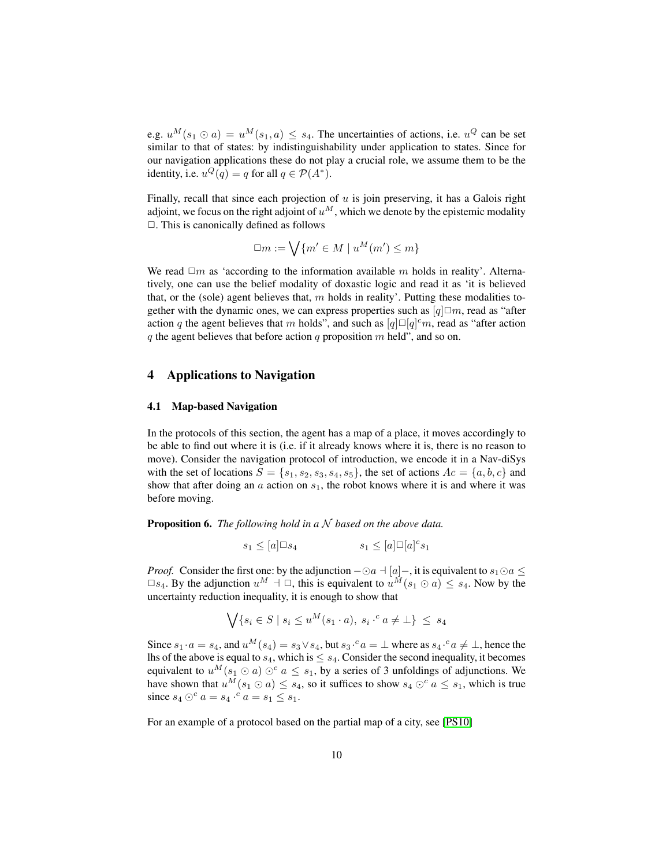e.g.  $u^M(s_1 \odot a) = u^M(s_1, a) \leq s_4$ . The uncertainties of actions, i.e.  $u^Q$  can be set similar to that of states: by indistinguishability under application to states. Since for our navigation applications these do not play a crucial role, we assume them to be the identity, i.e.  $u^{Q}(q) = q$  for all  $q \in \mathcal{P}(A^*)$ .

Finally, recall that since each projection of  $u$  is join preserving, it has a Galois right adjoint, we focus on the right adjoint of  $u^M$ , which we denote by the epistemic modality  $\Box$ . This is canonically defined as follows

$$
\Box m := \bigvee \{ m' \in M \mid u^M(m') \le m \}
$$

We read  $\Box m$  as 'according to the information available m holds in reality'. Alternatively, one can use the belief modality of doxastic logic and read it as 'it is believed that, or the (sole) agent believes that, m holds in reality'. Putting these modalities together with the dynamic ones, we can express properties such as  $[q] \square m$ , read as "after action q the agent believes that m holds", and such as  $[q] \Box [q]^c m$ , read as "after action  $q$  the agent believes that before action  $q$  proposition  $m$  held", and so on.

# 4 Applications to Navigation

#### 4.1 Map-based Navigation

In the protocols of this section, the agent has a map of a place, it moves accordingly to be able to find out where it is (i.e. if it already knows where it is, there is no reason to move). Consider the navigation protocol of introduction, we encode it in a Nav-diSys with the set of locations  $S = \{s_1, s_2, s_3, s_4, s_5\}$ , the set of actions  $Ac = \{a, b, c\}$  and show that after doing an  $a$  action on  $s<sub>1</sub>$ , the robot knows where it is and where it was before moving.

Proposition 6. *The following hold in a*  $N$  *based on the above data.* 

 $s_1 \leq [a] \square s_4$   $s_1 \leq [a] \square [a]^c s_1$ 

*Proof.* Consider the first one: by the adjunction  $-\odot a \dagger [a]$  –, it is equivalent to  $s_1 \odot a \leq$  $\Box s_4$ . By the adjunction  $u^M \dashv \Box$ , this is equivalent to  $u^M(s_1 \odot a) \leq s_4$ . Now by the uncertainty reduction inequality, it is enough to show that

$$
\bigvee \{s_i \in S \mid s_i \le u^M(s_1 \cdot a), \ s_i \cdot^c a \neq \bot\} \le s_4
$$

Since  $s_1 \cdot a = s_4$ , and  $u^M(s_4) = s_3 \vee s_4$ , but  $s_3 \cdot^c a = \perp$  where as  $s_4 \cdot^c a \neq \perp$ , hence the lhs of the above is equal to  $s_4$ , which is  $\leq s_4$ . Consider the second inequality, it becomes equivalent to  $u^M(s_1 \odot a) \odot^c a \leq s_1$ , by a series of 3 unfoldings of adjunctions. We have shown that  $u^M(s_1 \odot a) \leq s_4$ , so it suffices to show  $s_4 \odot^c a \leq s_1$ , which is true since  $s_4 \odot^c a = s_4 \cdot^c a = s_1 \leq s_1$ .

For an example of a protocol based on the partial map of a city, see [\[PS10\]](#page-14-10)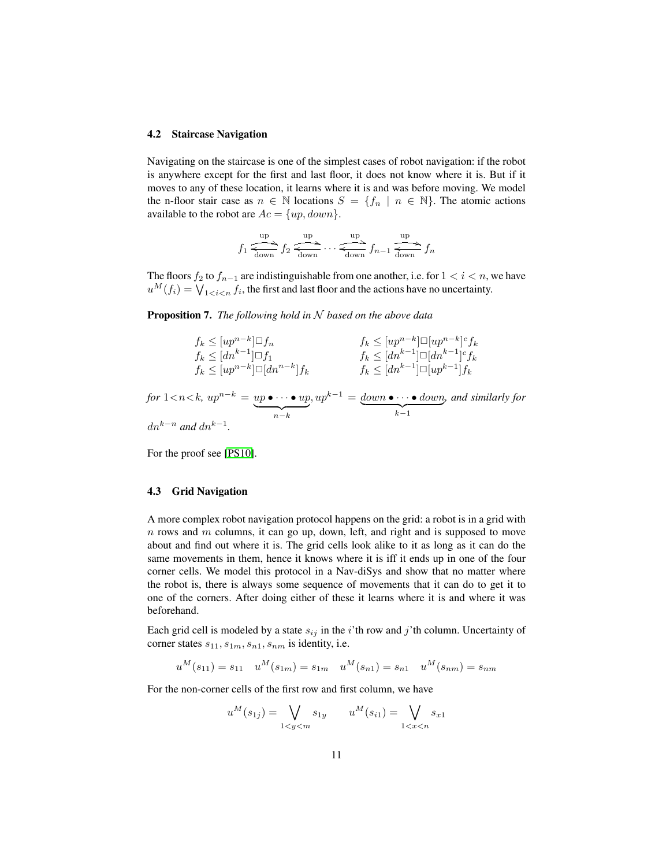#### 4.2 Staircase Navigation

Navigating on the staircase is one of the simplest cases of robot navigation: if the robot is anywhere except for the first and last floor, it does not know where it is. But if it moves to any of these location, it learns where it is and was before moving. We model the n-floor stair case as  $n \in \mathbb{N}$  locations  $S = \{f_n \mid n \in \mathbb{N}\}\$ . The atomic actions available to the robot are  $Ac = \{up, down\}.$ 

$$
f_1 \xrightarrow{\text{up}} f_2 \xrightarrow{\text{up}} \dots \xrightarrow{\text{up}} f_{n-1} \xrightarrow{\text{up}} f_n
$$

The floors  $f_2$  to  $f_{n-1}$  are indistinguishable from one another, i.e. for  $1 < i < n$ , we have  $u^M(f_i) = \bigvee_{1 \leq i \leq n} f_i$ , the first and last floor and the actions have no uncertainty.

Proposition 7. *The following hold in* N *based on the above data* 

$$
f_k \le [up^{n-k}] \square f_n
$$
  
\n
$$
f_k \le [up^{n-k}] \square f_1
$$
  
\n
$$
f_k \le [up^{n-k}] \square f_1
$$
  
\n
$$
f_k \le [up^{n-k}] \square [dn^{n-k}] f_k
$$
  
\n
$$
f_k \le [up^{n-k}] \square [dn^{n-k}] f_k
$$
  
\n
$$
f_k \le [dn^{k-1}] \square [dn^{k-1}]^c f_k
$$
  
\n
$$
f_k \le [dn^{k-1}] \square [up^{k-1}] f_k
$$
  
\n
$$
f_k \le [dn^{k-1}] \square [up^{k-1}] f_k
$$
  
\n
$$
f_k \le [dn^{k-1}] \square [up^{k-1}] f_k
$$
  
\n
$$
f_k \le [dn^{k-1}] \square [up^{k-1}] f_k
$$
  
\n
$$
f_k \le [dn^{k-1}] \square [up^{k-1}] f_k
$$
  
\n
$$
f_k \le [dn^{k-1}] \square [up^{k-1}] f_k
$$
  
\n
$$
f_k \le [dn^{k-1}] \square [up^{k-1}] f_k
$$
  
\n
$$
f_k \le [dn^{k-1}] \square [up^{k-1}] f_k
$$

 $dn^{\kappa-n}$  and dn *.*

For the proof see [\[PS10\]](#page-14-10).

#### 4.3 Grid Navigation

A more complex robot navigation protocol happens on the grid: a robot is in a grid with  $n$  rows and  $m$  columns, it can go up, down, left, and right and is supposed to move about and find out where it is. The grid cells look alike to it as long as it can do the same movements in them, hence it knows where it is iff it ends up in one of the four corner cells. We model this protocol in a Nav-diSys and show that no matter where the robot is, there is always some sequence of movements that it can do to get it to one of the corners. After doing either of these it learns where it is and where it was beforehand.

Each grid cell is modeled by a state  $s_{ij}$  in the i'th row and j'th column. Uncertainty of corner states  $s_{11}, s_{1m}, s_{n1}, s_{nm}$  is identity, i.e.

$$
u^M(s_{11}) = s_{11} \t u^M(s_{1m}) = s_{1m} \t u^M(s_{n1}) = s_{n1} \t u^M(s_{nm}) = s_{nm}
$$

For the non-corner cells of the first row and first column, we have

$$
u^M(s_{1j}) = \bigvee_{1 < y < m} s_{1y} \qquad u^M(s_{i1}) = \bigvee_{1 < x < n} s_{x1}
$$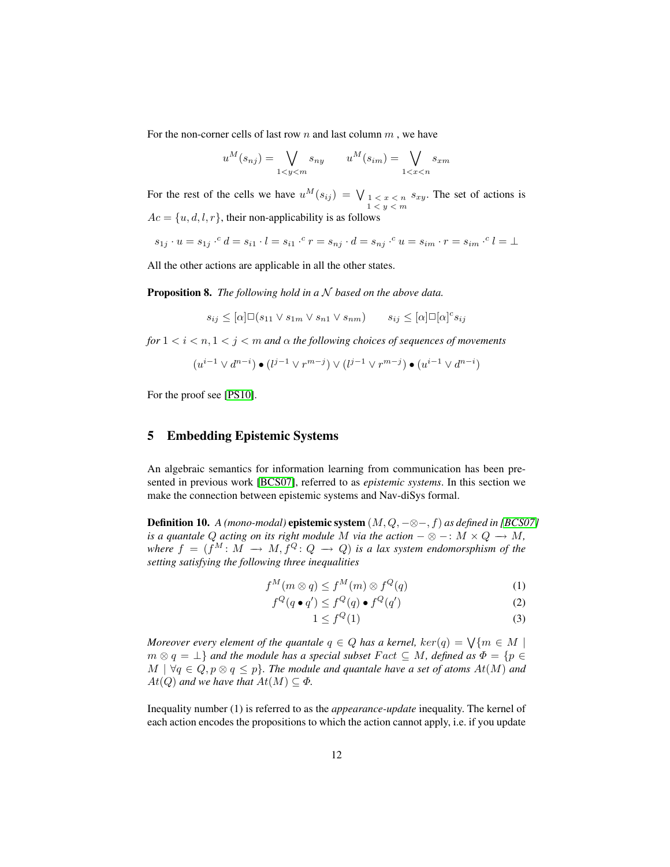For the non-corner cells of last row  $n$  and last column  $m$ , we have

$$
u^M(s_{nj}) = \bigvee_{1 < y < m} s_{ny} \qquad u^M(s_{im}) = \bigvee_{1 < x < n} s_{xm}
$$

For the rest of the cells we have  $u^M(s_{ij}) = \bigvee_{1 \le x \le n} s_{xy}$ . The set of actions is  $1 < y < m$  $Ac = \{u, d, l, r\}$ , their non-applicability is as follows

$$
s_{1j}\cdot u=s_{1j}\cdot {}^c\,d=s_{i1}\cdot l=s_{i1}\cdot {}^c\,r=s_{nj}\cdot d=s_{nj}\cdot {}^c\,u=s_{im}\cdot r=s_{im}\cdot {}^c\,l=\bot
$$

All the other actions are applicable in all the other states.

**Proposition 8.** *The following hold in a*  $N$  *based on the above data.* 

$$
s_{ij} \leq [\alpha] \Box (s_{11} \lor s_{1m} \lor s_{n1} \lor s_{nm}) \qquad s_{ij} \leq [\alpha] \Box [\alpha]^c s_{ij}
$$

*for*  $1 < i < n, 1 < j < m$  *and*  $\alpha$  *the following choices of sequences of movements* 

$$
(u^{i-1} \vee d^{n-i}) \bullet (l^{j-1} \vee r^{m-j}) \vee (l^{j-1} \vee r^{m-j}) \bullet (u^{i-1} \vee d^{n-i})
$$

For the proof see [\[PS10\]](#page-14-10).

# 5 Embedding Epistemic Systems

An algebraic semantics for information learning from communication has been presented in previous work [\[BCS07\]](#page-14-5), referred to as *epistemic systems*. In this section we make the connection between epistemic systems and Nav-diSys formal.

Definition 10. *A (mono-modal)* epistemic system (M, Q, −⊗−, f) *as defined in [\[BCS07\]](#page-14-5) is a quantale* Q *acting on its right module* M *via the action*  $-\otimes -$ :  $M \times Q \rightarrow M$ , *where*  $f = (\tilde{f}^M : \tilde{M} \to M, \tilde{f}^Q : Q \to Q)$  *is a lax system endomorsphism of the setting satisfying the following three inequalities*

$$
f^{M}(m \otimes q) \le f^{M}(m) \otimes f^{Q}(q)
$$
 (1)

$$
f^{Q}(q \bullet q') \le f^{Q}(q) \bullet f^{Q}(q') \tag{2}
$$

$$
1 \le f^Q(1) \tag{3}
$$

*Moreover every element of the quantale*  $q \in Q$  *has a kernel, ker* $(q) = \bigvee \{ m \in M \mid$  $m \otimes q = \perp$  *and the module has a special subset*  $Fact \subseteq M$ *, defined as*  $\Phi = \{p \in M\}$  $M \mid \forall q \in Q, p \otimes q \leq p$ *}. The module and quantale have a set of atoms*  $At(M)$  *and*  $At(Q)$  *and we have that*  $At(M) \subseteq \Phi$ *.* 

Inequality number (1) is referred to as the *appearance-update* inequality. The kernel of each action encodes the propositions to which the action cannot apply, i.e. if you update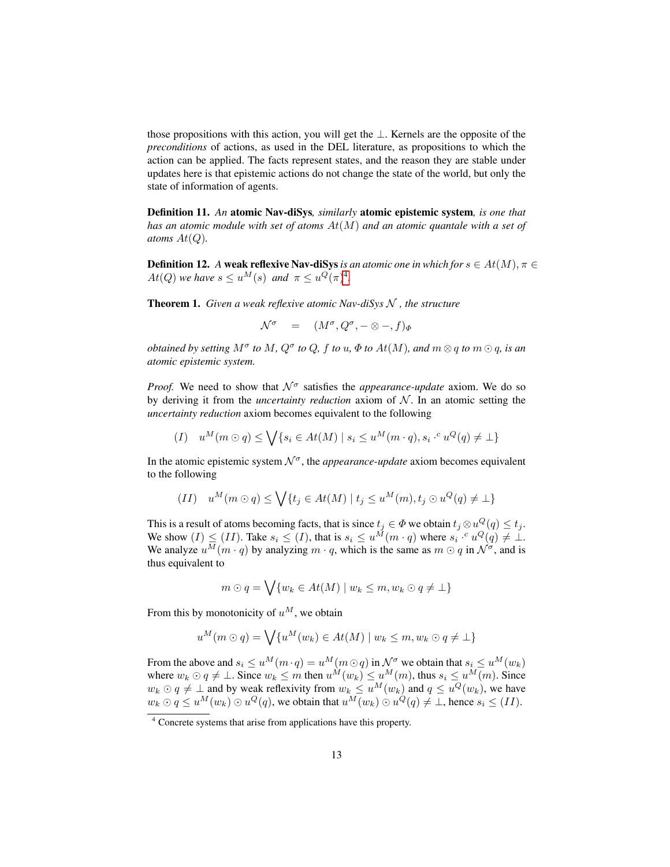those propositions with this action, you will get the ⊥. Kernels are the opposite of the *preconditions* of actions, as used in the DEL literature, as propositions to which the action can be applied. The facts represent states, and the reason they are stable under updates here is that epistemic actions do not change the state of the world, but only the state of information of agents.

Definition 11. *An* atomic Nav-diSys*, similarly* atomic epistemic system*, is one that has an atomic module with set of atoms* At(M) *and an atomic quantale with a set of atoms*  $At(Q)$ *.* 

**Definition 12.** A weak reflexive Nav-diSys is an atomic one in which for  $s \in At(M)$ ,  $\pi \in$  $At(Q)$  we have  $s \leq u^M(s)$  and  $\pi \leq u^Q(\pi)^4$  $\pi \leq u^Q(\pi)^4$ .

Theorem 1. *Given a weak reflexive atomic Nav-diSys* N *, the structure*

$$
\mathcal{N}^{\sigma} = (M^{\sigma}, Q^{\sigma}, -\otimes -, f)_{\Phi}
$$

*obtained by setting*  $M^{\sigma}$  *to*  $M$ *,*  $Q^{\sigma}$  *to*  $Q$ *,*  $f$  *to*  $u$ *,*  $\Phi$  *to*  $At(M)$ *, and*  $m \otimes q$  *to*  $m \odot q$ *, is an atomic epistemic system.*

*Proof.* We need to show that  $\mathcal{N}^{\sigma}$  satisfies the *appearance-update* axiom. We do so by deriving it from the *uncertainty reduction* axiom of  $N$ . In an atomic setting the *uncertainty reduction* axiom becomes equivalent to the following

$$
(I) \quad u^M(m \odot q) \le \bigvee \{ s_i \in At(M) \mid s_i \le u^M(m \cdot q), s_i \cdot^c u^Q(q) \ne \bot \}
$$

In the atomic epistemic system  $\mathcal{N}^{\sigma}$ , the *appearance-update* axiom becomes equivalent to the following

 $(II)$   $u^M(m\odot q) \leq \bigvee \{t_j \in At(M) \mid t_j \leq u^M(m), t_j \odot u^Q(q) \neq \bot\}$ 

This is a result of atoms becoming facts, that is since  $t_j \in \Phi$  we obtain  $t_j \otimes u^Q(q) \leq t_j$ . We show  $(I) \leq (II)$ . Take  $s_i \leq (I)$ , that is  $s_i \leq u^{\tilde{M}}(m \cdot q)$  where  $s_i \cdot c u^{\tilde{Q}}(q) \neq \bot$ . We analyze  $u^M(m \cdot q)$  by analyzing  $m \cdot q$ , which is the same as  $m \odot q$  in  $\mathcal{N}^{\sigma}$ , and is thus equivalent to

$$
m \odot q = \bigvee \{w_k \in At(M) \mid w_k \leq m, w_k \odot q \neq \bot\}
$$

From this by monotonicity of  $u^M$ , we obtain

$$
u^M(m \odot q) = \bigvee \{ u^M(w_k) \in At(M) \mid w_k \le m, w_k \odot q \ne \bot \}
$$

From the above and  $s_i \le u^M(m \cdot q) = u^M(m \odot q)$  in  $\mathcal{N}^{\sigma}$  we obtain that  $s_i \le u^M(w_k)$ where  $w_k \odot q \neq \bot$ . Since  $w_k \leq m$  then  $u^M(w_k) \leq u^M(m)$ , thus  $s_i \leq u^M(m)$ . Since  $w_k \odot q \neq \perp$  and by weak reflexivity from  $w_k \leq u^M(w_k)$  and  $q \leq u^Q(w_k)$ , we have  $w_k \odot q \le u^{M}(w_k) \odot u^{Q}(q)$ , we obtain that  $u^{M}(w_k) \odot u^{Q}(q) \ne \bot$ , hence  $s_i \le (II)$ .

<span id="page-12-0"></span><sup>4</sup> Concrete systems that arise from applications have this property.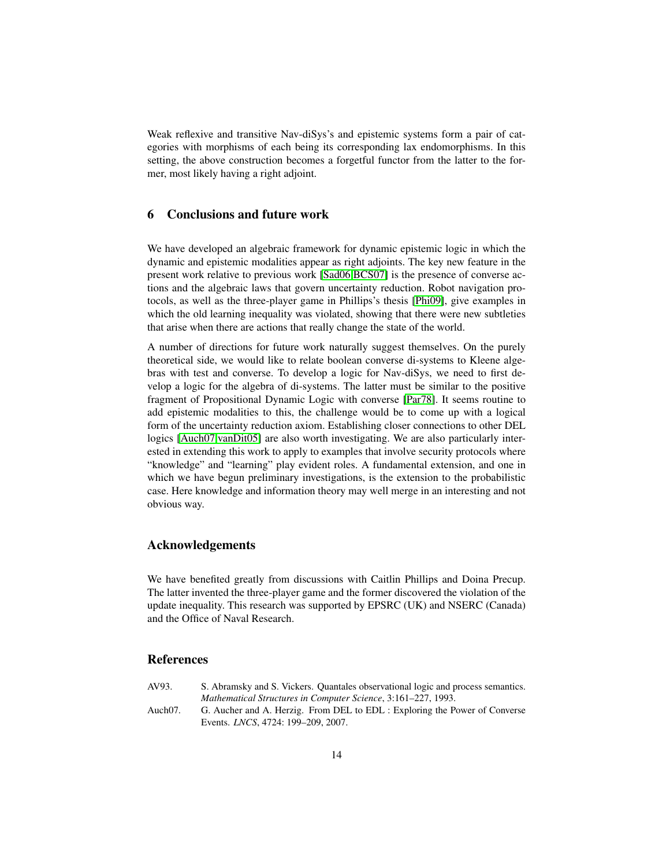Weak reflexive and transitive Nav-diSys's and epistemic systems form a pair of categories with morphisms of each being its corresponding lax endomorphisms. In this setting, the above construction becomes a forgetful functor from the latter to the former, most likely having a right adjoint.

# 6 Conclusions and future work

We have developed an algebraic framework for dynamic epistemic logic in which the dynamic and epistemic modalities appear as right adjoints. The key new feature in the present work relative to previous work [\[Sad06](#page-14-6)[,BCS07\]](#page-14-5) is the presence of converse actions and the algebraic laws that govern uncertainty reduction. Robot navigation protocols, as well as the three-player game in Phillips's thesis [\[Phi09\]](#page-14-11), give examples in which the old learning inequality was violated, showing that there were new subtleties that arise when there are actions that really change the state of the world.

A number of directions for future work naturally suggest themselves. On the purely theoretical side, we would like to relate boolean converse di-systems to Kleene algebras with test and converse. To develop a logic for Nav-diSys, we need to first develop a logic for the algebra of di-systems. The latter must be similar to the positive fragment of Propositional Dynamic Logic with converse [\[Par78\]](#page-14-12). It seems routine to add epistemic modalities to this, the challenge would be to come up with a logical form of the uncertainty reduction axiom. Establishing closer connections to other DEL logics [\[Auch07,](#page-13-1) [vanDit05\]](#page-14-7) are also worth investigating. We are also particularly interested in extending this work to apply to examples that involve security protocols where "knowledge" and "learning" play evident roles. A fundamental extension, and one in which we have begun preliminary investigations, is the extension to the probabilistic case. Here knowledge and information theory may well merge in an interesting and not obvious way.

# Acknowledgements

We have benefited greatly from discussions with Caitlin Phillips and Doina Precup. The latter invented the three-player game and the former discovered the violation of the update inequality. This research was supported by EPSRC (UK) and NSERC (Canada) and the Office of Naval Research.

#### References

<span id="page-13-1"></span><span id="page-13-0"></span>AV93. S. Abramsky and S. Vickers. Quantales observational logic and process semantics. *Mathematical Structures in Computer Science*, 3:161–227, 1993. Auch07. G. Aucher and A. Herzig. From DEL to EDL : Exploring the Power of Converse Events. *LNCS*, 4724: 199–209, 2007.